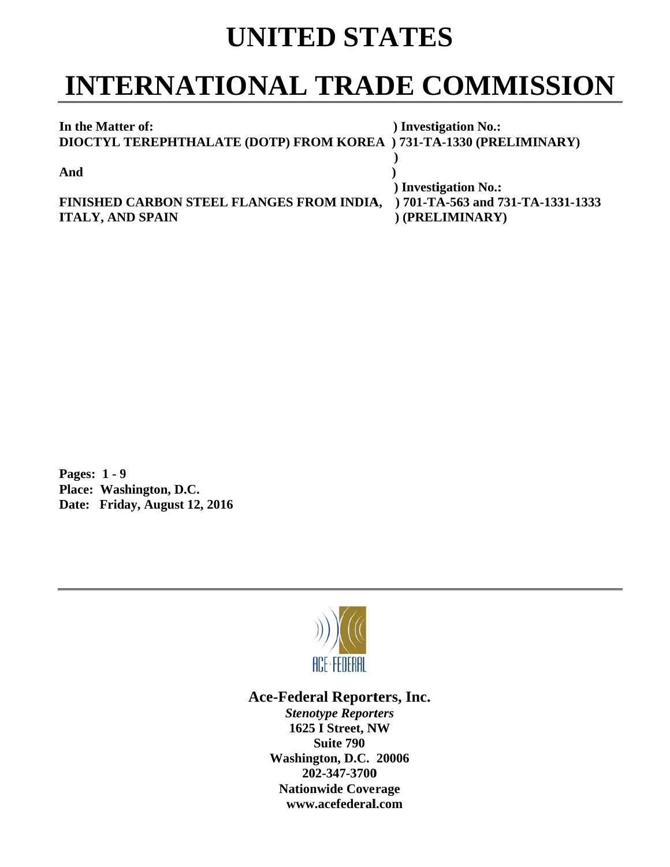## **UNITED STATES**

# **INTERNATIONAL TRADE COMMISSION**

 **)** 

| In the Matter of:                                                   | ) Investigation No.: |
|---------------------------------------------------------------------|----------------------|
| DIOCTYL TEREPHTHALATE (DOTP) FROM KOREA ) 731-TA-1330 (PRELIMINARY) |                      |
|                                                                     |                      |

**A And** 

**F FINISHED CARBON S STEEL FLA ANGES FR ROM INDIA ITALY, AND SPAIN** 

**)** Investigation No.: **A,** ) 701-TA-563 and 731-TA-1331-1333  **) (PREL LIMINARY Y)** 

**P Pages: 1 - 9** Pages: 1 - 9<br>Place: Washington, D.C. **Date: Friday, August 12, 2016** 



### Ace-Federal Reporters, Inc.

**Stenotype Reporters 1625 I Street, NW Washin gton, D.C. 20006 20 02-347-3700** 202-347-3700<br>Nationwide Coverage **www w.acefederal l.com Suite 790**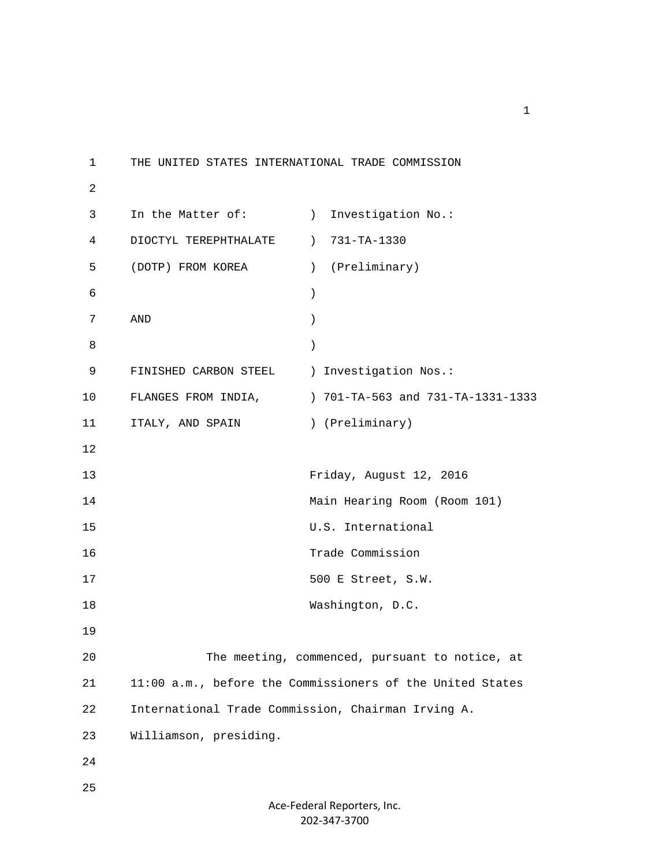1 THE UNITED STATES INTERNATIONAL TRADE COMMISSION 2 3 In the Matter of: (a) Investigation No.: 4 DIOCTYL TEREPHTHALATE ) 731-TA-1330 5 (DOTP) FROM KOREA ) (Preliminary)  $\sim$  6 ) 7 AND )  $8$  ) 9 FINISHED CARBON STEEL ) Investigation Nos.: 10 FLANGES FROM INDIA, ) 701-TA-563 and 731-TA-1331-1333 11 ITALY, AND SPAIN ) (Preliminary) 12 13 Friday, August 12, 2016 14 Main Hearing Room (Room 101) 15 U.S. International 16 Trade Commission 17 500 E Street, S.W. 18 Washington, D.C. 19 20 The meeting, commenced, pursuant to notice, at 21 11:00 a.m., before the Commissioners of the United States 22 International Trade Commission, Chairman Irving A. 23 Williamson, presiding. 24 25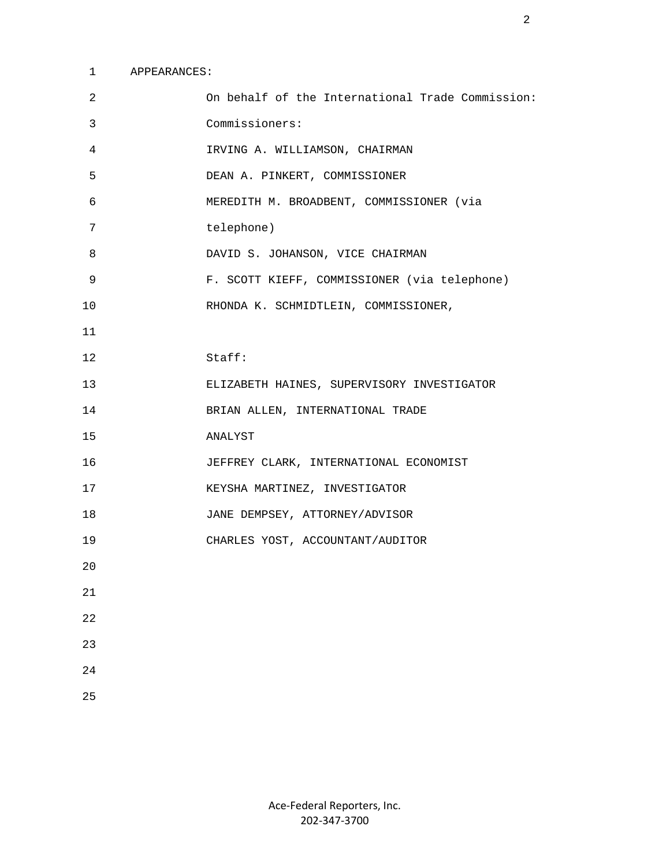#### 1 APPEARANCES:

| 2      | On behalf of the International Trade Commission: |
|--------|--------------------------------------------------|
| 3      | Commissioners:                                   |
| 4      | IRVING A. WILLIAMSON, CHAIRMAN                   |
| 5      | DEAN A. PINKERT, COMMISSIONER                    |
| 6      | MEREDITH M. BROADBENT, COMMISSIONER (via         |
| 7      | telephone)                                       |
| 8      | DAVID S. JOHANSON, VICE CHAIRMAN                 |
| 9      | F. SCOTT KIEFF, COMMISSIONER (via telephone)     |
| 10     | RHONDA K. SCHMIDTLEIN, COMMISSIONER,             |
| 11     |                                                  |
| 12     | Staff:                                           |
| 13     | ELIZABETH HAINES, SUPERVISORY INVESTIGATOR       |
| 14     | BRIAN ALLEN, INTERNATIONAL TRADE                 |
| 15     | ANALYST                                          |
| 16     | JEFFREY CLARK, INTERNATIONAL ECONOMIST           |
| 17     | KEYSHA MARTINEZ, INVESTIGATOR                    |
| 18     | JANE DEMPSEY, ATTORNEY/ADVISOR                   |
| 19     | CHARLES YOST, ACCOUNTANT/AUDITOR                 |
| 20     |                                                  |
| $21\,$ |                                                  |
| 22     |                                                  |
| 23     |                                                  |
| 24     |                                                  |
| 25     |                                                  |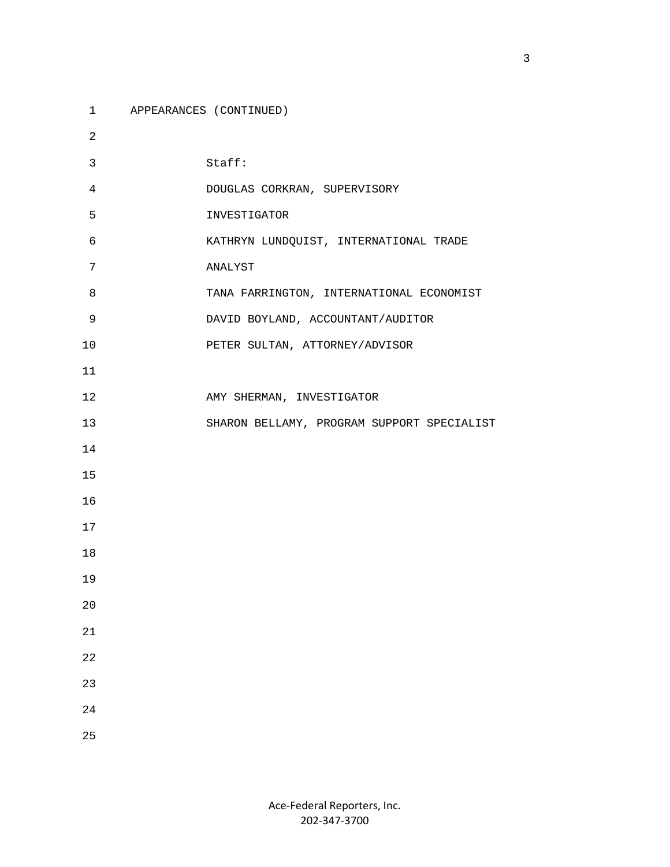1 APPEARANCES (CONTINUED)

 2 3 Staff: 4 DOUGLAS CORKRAN, SUPERVISORY 5 INVESTIGATOR 6 KATHRYN LUNDQUIST, INTERNATIONAL TRADE 7 ANALYST 8 TANA FARRINGTON, INTERNATIONAL ECONOMIST 9 DAVID BOYLAND, ACCOUNTANT/AUDITOR 10 PETER SULTAN, ATTORNEY/ADVISOR 11 12 AMY SHERMAN, INVESTIGATOR 13 SHARON BELLAMY, PROGRAM SUPPORT SPECIALIST 14 15 16 17 18 19 20 21 22 23 24 25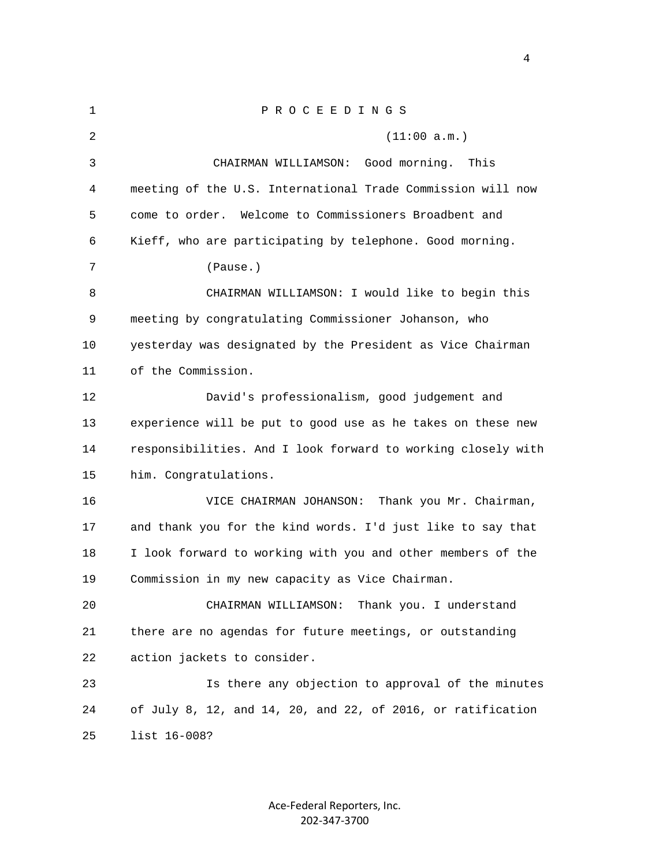| 1  | PROCEEDINGS                                                  |
|----|--------------------------------------------------------------|
| 2  | (11:00 a.m.)                                                 |
| 3  | CHAIRMAN WILLIAMSON:<br>Good morning.<br>This                |
| 4  | meeting of the U.S. International Trade Commission will now  |
| 5  | Welcome to Commissioners Broadbent and<br>come to order.     |
| 6  | Kieff, who are participating by telephone. Good morning.     |
| 7  | (Pause.)                                                     |
| 8  | CHAIRMAN WILLIAMSON: I would like to begin this              |
| 9  | meeting by congratulating Commissioner Johanson, who         |
| 10 | yesterday was designated by the President as Vice Chairman   |
| 11 | of the Commission.                                           |
| 12 | David's professionalism, good judgement and                  |
| 13 | experience will be put to good use as he takes on these new  |
| 14 | responsibilities. And I look forward to working closely with |
| 15 | him. Congratulations.                                        |
| 16 | Thank you Mr. Chairman,<br>VICE CHAIRMAN JOHANSON:           |
| 17 | and thank you for the kind words. I'd just like to say that  |
| 18 | I look forward to working with you and other members of the  |
| 19 | Commission in my new capacity as Vice Chairman.              |
| 20 | Thank you. I understand<br>CHAIRMAN WILLIAMSON:              |
| 21 | there are no agendas for future meetings, or outstanding     |
| 22 | action jackets to consider.                                  |
| 23 | Is there any objection to approval of the minutes            |
| 24 | of July 8, 12, and 14, 20, and 22, of 2016, or ratification  |
| 25 | list 16-008?                                                 |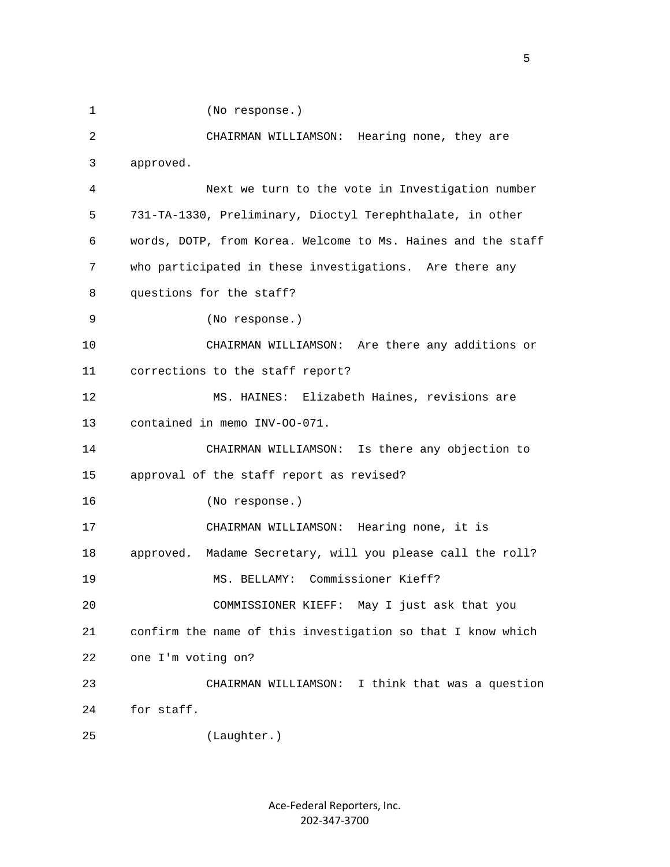1 (No response.) 2 CHAIRMAN WILLIAMSON: Hearing none, they are 3 approved. 4 Next we turn to the vote in Investigation number 5 731-TA-1330, Preliminary, Dioctyl Terephthalate, in other 6 words, DOTP, from Korea. Welcome to Ms. Haines and the staff 7 who participated in these investigations. Are there any 8 questions for the staff? 9 (No response.) 10 CHAIRMAN WILLIAMSON: Are there any additions or 11 corrections to the staff report? 12 MS. HAINES: Elizabeth Haines, revisions are 13 contained in memo INV-OO-071. 14 CHAIRMAN WILLIAMSON: Is there any objection to 15 approval of the staff report as revised? 16 (No response.) 17 CHAIRMAN WILLIAMSON: Hearing none, it is 18 approved. Madame Secretary, will you please call the roll? 19 MS. BELLAMY: Commissioner Kieff? 20 COMMISSIONER KIEFF: May I just ask that you 21 confirm the name of this investigation so that I know which 22 one I'm voting on? 23 CHAIRMAN WILLIAMSON: I think that was a question 24 for staff. 25 (Laughter.)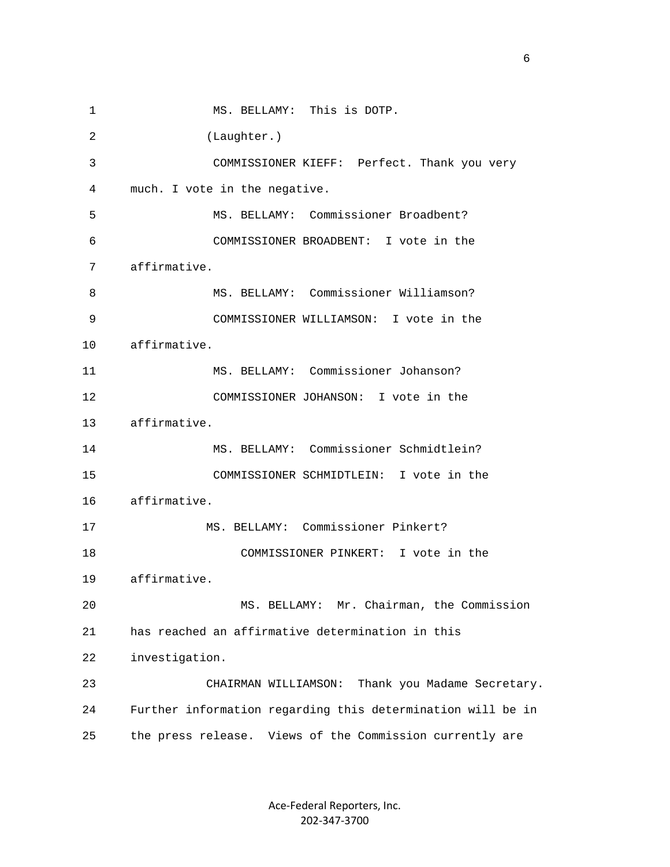1 MS. BELLAMY: This is DOTP. 2 (Laughter.) 3 COMMISSIONER KIEFF: Perfect. Thank you very 4 much. I vote in the negative. 5 MS. BELLAMY: Commissioner Broadbent? 6 COMMISSIONER BROADBENT: I vote in the 7 affirmative. 8 MS. BELLAMY: Commissioner Williamson? 9 COMMISSIONER WILLIAMSON: I vote in the 10 affirmative. 11 MS. BELLAMY: Commissioner Johanson? 12 COMMISSIONER JOHANSON: I vote in the 13 affirmative. 14 MS. BELLAMY: Commissioner Schmidtlein? 15 COMMISSIONER SCHMIDTLEIN: I vote in the 16 affirmative. 17 MS. BELLAMY: Commissioner Pinkert? 18 COMMISSIONER PINKERT: I vote in the 19 affirmative. 20 MS. BELLAMY: Mr. Chairman, the Commission 21 has reached an affirmative determination in this 22 investigation. 23 CHAIRMAN WILLIAMSON: Thank you Madame Secretary. 24 Further information regarding this determination will be in 25 the press release. Views of the Commission currently are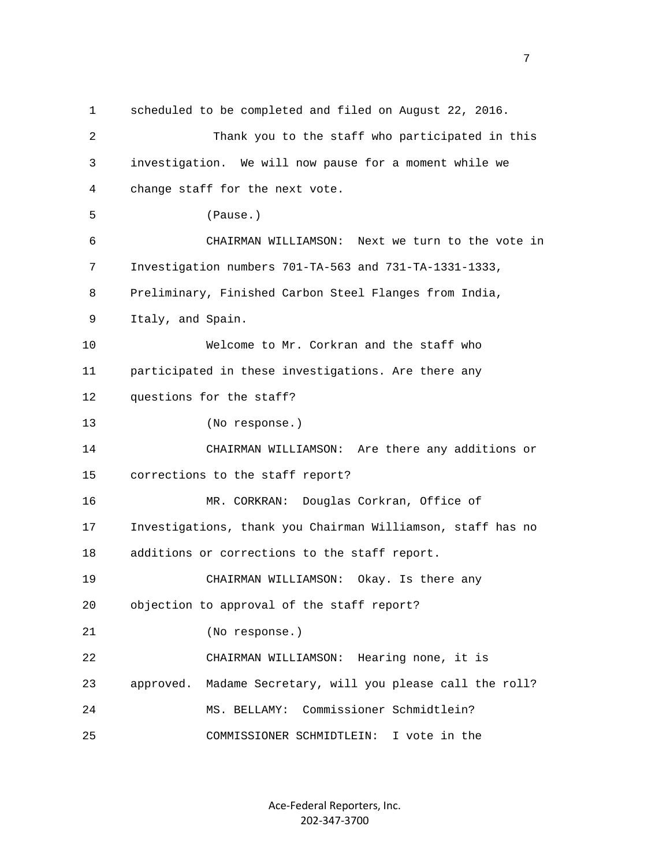1 scheduled to be completed and filed on August 22, 2016. 2 Thank you to the staff who participated in this 3 investigation. We will now pause for a moment while we 4 change staff for the next vote. 5 (Pause.) 6 CHAIRMAN WILLIAMSON: Next we turn to the vote in 7 Investigation numbers 701-TA-563 and 731-TA-1331-1333, 8 Preliminary, Finished Carbon Steel Flanges from India, 9 Italy, and Spain. 10 Welcome to Mr. Corkran and the staff who 11 participated in these investigations. Are there any 12 questions for the staff? 13 (No response.) 14 CHAIRMAN WILLIAMSON: Are there any additions or 15 corrections to the staff report? 16 MR. CORKRAN: Douglas Corkran, Office of 17 Investigations, thank you Chairman Williamson, staff has no 18 additions or corrections to the staff report. 19 CHAIRMAN WILLIAMSON: Okay. Is there any 20 objection to approval of the staff report? 21 (No response.) 22 CHAIRMAN WILLIAMSON: Hearing none, it is 23 approved. Madame Secretary, will you please call the roll? 24 MS. BELLAMY: Commissioner Schmidtlein? 25 COMMISSIONER SCHMIDTLEIN: I vote in the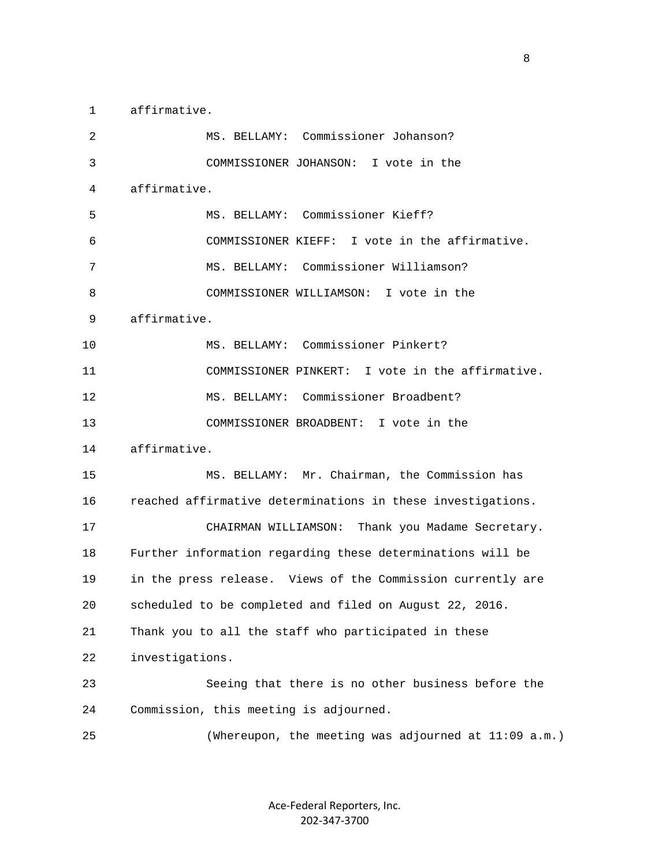1 affirmative.

| $\overline{2}$ | MS. BELLAMY: Commissioner Johanson?                         |
|----------------|-------------------------------------------------------------|
| 3              | COMMISSIONER JOHANSON: I vote in the                        |
| 4              | affirmative.                                                |
| 5              | MS. BELLAMY: Commissioner Kieff?                            |
| 6              | COMMISSIONER KIEFF: I vote in the affirmative.              |
| 7              | MS. BELLAMY: Commissioner Williamson?                       |
| 8              | COMMISSIONER WILLIAMSON: I vote in the                      |
| 9              | affirmative.                                                |
| 10             | MS. BELLAMY: Commissioner Pinkert?                          |
| 11             | COMMISSIONER PINKERT: I vote in the affirmative.            |
| 12             | MS. BELLAMY: Commissioner Broadbent?                        |
| 13             | COMMISSIONER BROADBENT: I vote in the                       |
| 14             | affirmative.                                                |
| 15             | MS. BELLAMY: Mr. Chairman, the Commission has               |
| 16             | reached affirmative determinations in these investigations. |
| 17             | CHAIRMAN WILLIAMSON:<br>Thank you Madame Secretary.         |
| 18             | Further information regarding these determinations will be  |
| 19             | in the press release. Views of the Commission currently are |
| 20             | scheduled to be completed and filed on August 22, 2016.     |
| 21             | Thank you to all the staff who participated in these        |
| 22             | investigations.                                             |
| 23             | Seeing that there is no other business before the           |
| 24             | Commission, this meeting is adjourned.                      |
| 25             | (Whereupon, the meeting was adjourned at 11:09 a.m.)        |